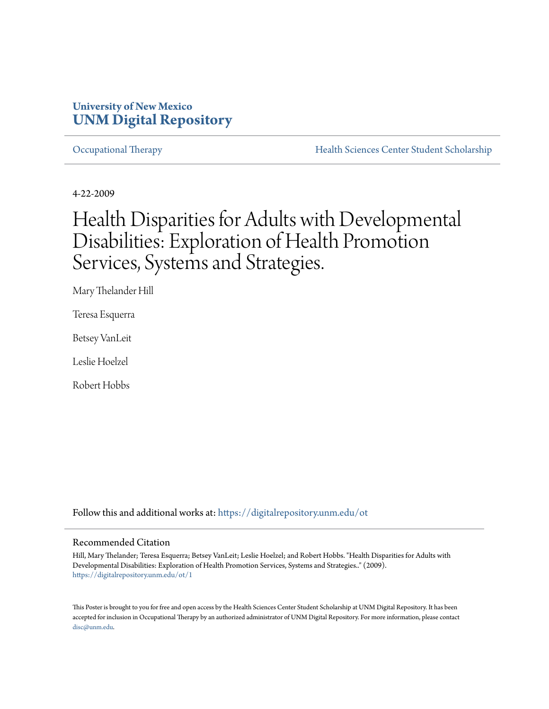### **University of New Mexico [UNM Digital Repository](https://digitalrepository.unm.edu?utm_source=digitalrepository.unm.edu%2Fot%2F1&utm_medium=PDF&utm_campaign=PDFCoverPages)**

[Occupational Therapy](https://digitalrepository.unm.edu/ot?utm_source=digitalrepository.unm.edu%2Fot%2F1&utm_medium=PDF&utm_campaign=PDFCoverPages) **[Health Sciences Center Student Scholarship](https://digitalrepository.unm.edu/hsc-students?utm_source=digitalrepository.unm.edu%2Fot%2F1&utm_medium=PDF&utm_campaign=PDFCoverPages)** 

4-22-2009

# Health Disparities for Adults with Developmental Disabilities: Exploration of Health Promotion Services, Systems and Strategies.

Mary Thelander Hill

Teresa Esquerra

Betsey VanLeit

Leslie Hoelzel

Robert Hobbs

Follow this and additional works at: [https://digitalrepository.unm.edu/ot](https://digitalrepository.unm.edu/ot?utm_source=digitalrepository.unm.edu%2Fot%2F1&utm_medium=PDF&utm_campaign=PDFCoverPages)

#### Recommended Citation

Hill, Mary Thelander; Teresa Esquerra; Betsey VanLeit; Leslie Hoelzel; and Robert Hobbs. "Health Disparities for Adults with Developmental Disabilities: Exploration of Health Promotion Services, Systems and Strategies.." (2009). [https://digitalrepository.unm.edu/ot/1](https://digitalrepository.unm.edu/ot/1?utm_source=digitalrepository.unm.edu%2Fot%2F1&utm_medium=PDF&utm_campaign=PDFCoverPages)

This Poster is brought to you for free and open access by the Health Sciences Center Student Scholarship at UNM Digital Repository. It has been accepted for inclusion in Occupational Therapy by an authorized administrator of UNM Digital Repository. For more information, please contact [disc@unm.edu](mailto:disc@unm.edu).